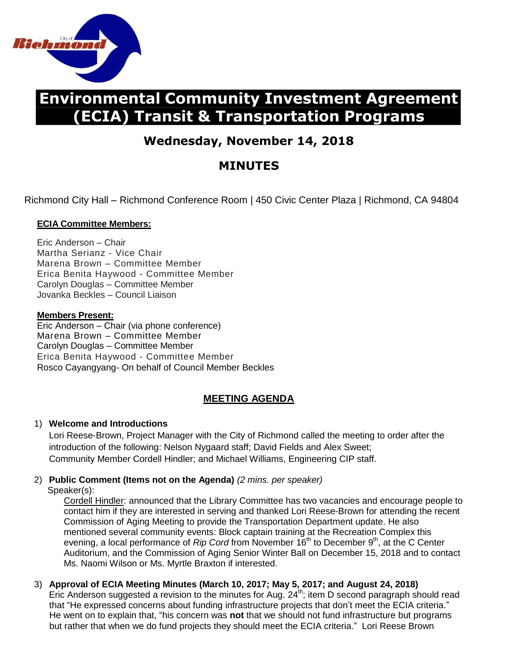

# **Environmental Community Investment Agreement (ECIA) Transit & Transportation Programs**

## **Wednesday, November 14, 2018**

## **MINUTES**

Richmond City Hall – Richmond Conference Room | 450 Civic Center Plaza | Richmond, CA 94804

### **ECIA Committee Members:**

Eric Anderson – Chair Martha Serianz - Vice Chair Marena Brown – Committee Member Erica Benita Haywood - Committee Member Carolyn Douglas – Committee Member Jovanka Beckles – Council Liaison

#### **Members Present:**

Eric Anderson – Chair (via phone conference) Marena Brown – Committee Member Carolyn Douglas – Committee Member Erica Benita Haywood - Committee Member Rosco Cayangyang- On behalf of Council Member Beckles

## **MEETING AGENDA**

### 1) **Welcome and Introductions**

 Lori Reese-Brown, Project Manager with the City of Richmond called the meeting to order after the introduction of the following: Nelson Nygaard staff; David Fields and Alex Sweet; Community Member Cordell Hindler; and Michael Williams, Engineering CIP staff.

## 2) **Public Comment (Items not on the Agenda)** *(2 mins. per speaker)*

Speaker(s):

Cordell Hindler: announced that the Library Committee has two vacancies and encourage people to contact him if they are interested in serving and thanked Lori Reese-Brown for attending the recent Commission of Aging Meeting to provide the Transportation Department update. He also mentioned several community events: Block captain training at the Recreation Complex this evening, a local performance of *Rip Cord* from November 16<sup>th</sup> to December 9<sup>th</sup>, at the C Center Auditorium, and the Commission of Aging Senior Winter Ball on December 15, 2018 and to contact Ms. Naomi Wilson or Ms. Myrtle Braxton if interested.

### 3) **Approval of ECIA Meeting Minutes (March 10, 2017; May 5, 2017; and August 24, 2018)**

Eric Anderson suggested a revision to the minutes for Aug.  $24<sup>th</sup>$ ; item D second paragraph should read that "He expressed concerns about funding infrastructure projects that don't meet the ECIA criteria." He went on to explain that, "his concern was **not** that we should not fund infrastructure but programs but rather that when we do fund projects they should meet the ECIA criteria." Lori Reese Brown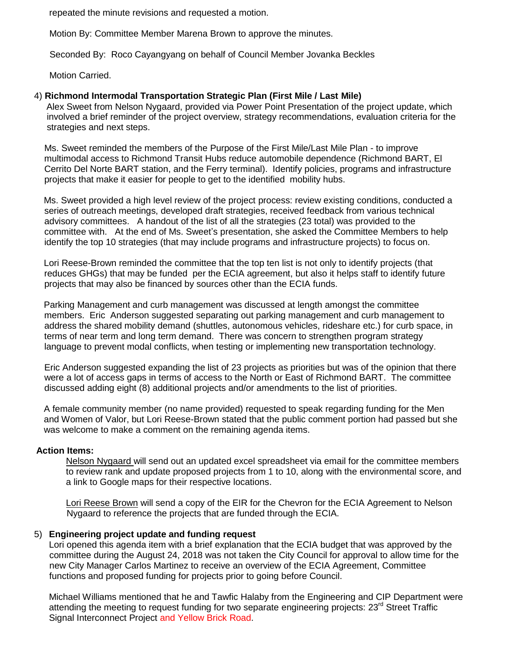repeated the minute revisions and requested a motion.

Motion By: Committee Member Marena Brown to approve the minutes.

Seconded By: Roco Cayangyang on behalf of Council Member Jovanka Beckles

Motion Carried.

#### 4) **Richmond Intermodal Transportation Strategic Plan (First Mile / Last Mile)**

 Alex Sweet from Nelson Nygaard, provided via Power Point Presentation of the project update, which involved a brief reminder of the project overview, strategy recommendations, evaluation criteria for the strategies and next steps.

 Ms. Sweet reminded the members of the Purpose of the First Mile/Last Mile Plan - to improve multimodal access to Richmond Transit Hubs reduce automobile dependence (Richmond BART, El Cerrito Del Norte BART station, and the Ferry terminal). Identify policies, programs and infrastructure projects that make it easier for people to get to the identified mobility hubs.

 Ms. Sweet provided a high level review of the project process: review existing conditions, conducted a series of outreach meetings, developed draft strategies, received feedback from various technical advisory committees. A handout of the list of all the strategies (23 total) was provided to the committee with. At the end of Ms. Sweet's presentation, she asked the Committee Members to help identify the top 10 strategies (that may include programs and infrastructure projects) to focus on.

 Lori Reese-Brown reminded the committee that the top ten list is not only to identify projects (that reduces GHGs) that may be funded per the ECIA agreement, but also it helps staff to identify future projects that may also be financed by sources other than the ECIA funds.

 Parking Management and curb management was discussed at length amongst the committee members. Eric Anderson suggested separating out parking management and curb management to address the shared mobility demand (shuttles, autonomous vehicles, rideshare etc.) for curb space, in terms of near term and long term demand. There was concern to strengthen program strategy language to prevent modal conflicts, when testing or implementing new transportation technology.

 Eric Anderson suggested expanding the list of 23 projects as priorities but was of the opinion that there were a lot of access gaps in terms of access to the North or East of Richmond BART. The committee discussed adding eight (8) additional projects and/or amendments to the list of priorities.

 A female community member (no name provided) requested to speak regarding funding for the Men and Women of Valor, but Lori Reese-Brown stated that the public comment portion had passed but she was welcome to make a comment on the remaining agenda items.

#### **Action Items:**

Nelson Nygaard will send out an updated excel spreadsheet via email for the committee members to review rank and update proposed projects from 1 to 10, along with the environmental score, and a link to Google maps for their respective locations.

 Lori Reese Brown will send a copy of the EIR for the Chevron for the ECIA Agreement to Nelson Nygaard to reference the projects that are funded through the ECIA.

#### 5) **Engineering project update and funding request**

 Lori opened this agenda item with a brief explanation that the ECIA budget that was approved by the committee during the August 24, 2018 was not taken the City Council for approval to allow time for the new City Manager Carlos Martinez to receive an overview of the ECIA Agreement, Committee functions and proposed funding for projects prior to going before Council.

 Michael Williams mentioned that he and Tawfic Halaby from the Engineering and CIP Department were attending the meeting to request funding for two separate engineering projects: 23<sup>rd</sup> Street Traffic Signal Interconnect Project and Yellow Brick Road.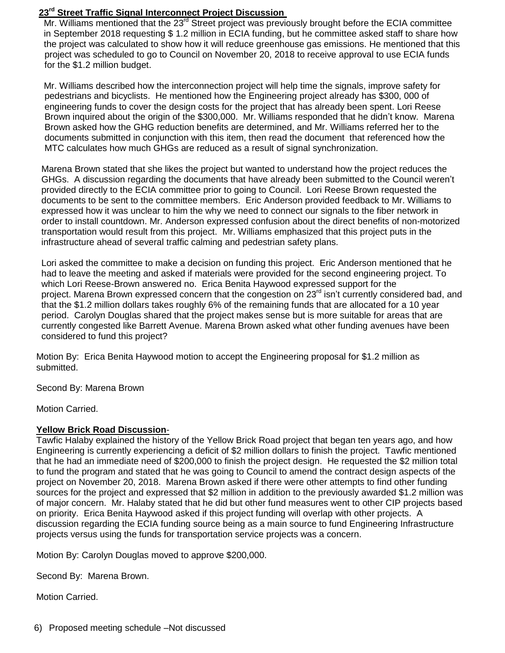#### **23rd Street Traffic Signal Interconnect Project Discussion**

Mr. Williams mentioned that the 23<sup>rd</sup> Street project was previously brought before the ECIA committee in September 2018 requesting \$ 1.2 million in ECIA funding, but he committee asked staff to share how the project was calculated to show how it will reduce greenhouse gas emissions. He mentioned that this project was scheduled to go to Council on November 20, 2018 to receive approval to use ECIA funds for the \$1.2 million budget.

 Mr. Williams described how the interconnection project will help time the signals, improve safety for pedestrians and bicyclists. He mentioned how the Engineering project already has \$300, 000 of engineering funds to cover the design costs for the project that has already been spent. Lori Reese Brown inquired about the origin of the \$300,000. Mr. Williams responded that he didn't know. Marena Brown asked how the GHG reduction benefits are determined, and Mr. Williams referred her to the documents submitted in conjunction with this item, then read the document that referenced how the MTC calculates how much GHGs are reduced as a result of signal synchronization.

 Marena Brown stated that she likes the project but wanted to understand how the project reduces the GHGs. A discussion regarding the documents that have already been submitted to the Council weren't provided directly to the ECIA committee prior to going to Council. Lori Reese Brown requested the documents to be sent to the committee members. Eric Anderson provided feedback to Mr. Williams to expressed how it was unclear to him the why we need to connect our signals to the fiber network in order to install countdown. Mr. Anderson expressed confusion about the direct benefits of non-motorized transportation would result from this project. Mr. Williams emphasized that this project puts in the infrastructure ahead of several traffic calming and pedestrian safety plans.

 Lori asked the committee to make a decision on funding this project. Eric Anderson mentioned that he had to leave the meeting and asked if materials were provided for the second engineering project. To which Lori Reese-Brown answered no. Erica Benita Haywood expressed support for the project. Marena Brown expressed concern that the congestion on 23<sup>rd</sup> isn't currently considered bad, and that the \$1.2 million dollars takes roughly 6% of the remaining funds that are allocated for a 10 year period. Carolyn Douglas shared that the project makes sense but is more suitable for areas that are currently congested like Barrett Avenue. Marena Brown asked what other funding avenues have been considered to fund this project?

Motion By: Erica Benita Haywood motion to accept the Engineering proposal for \$1.2 million as submitted.

Second By: Marena Brown

Motion Carried.

#### **Yellow Brick Road Discussion**-

Tawfic Halaby explained the history of the Yellow Brick Road project that began ten years ago, and how Engineering is currently experiencing a deficit of \$2 million dollars to finish the project. Tawfic mentioned that he had an immediate need of \$200,000 to finish the project design. He requested the \$2 million total to fund the program and stated that he was going to Council to amend the contract design aspects of the project on November 20, 2018. Marena Brown asked if there were other attempts to find other funding sources for the project and expressed that \$2 million in addition to the previously awarded \$1.2 million was of major concern. Mr. Halaby stated that he did but other fund measures went to other CIP projects based on priority. Erica Benita Haywood asked if this project funding will overlap with other projects. A discussion regarding the ECIA funding source being as a main source to fund Engineering Infrastructure projects versus using the funds for transportation service projects was a concern.

Motion By: Carolyn Douglas moved to approve \$200,000.

Second By: Marena Brown.

Motion Carried.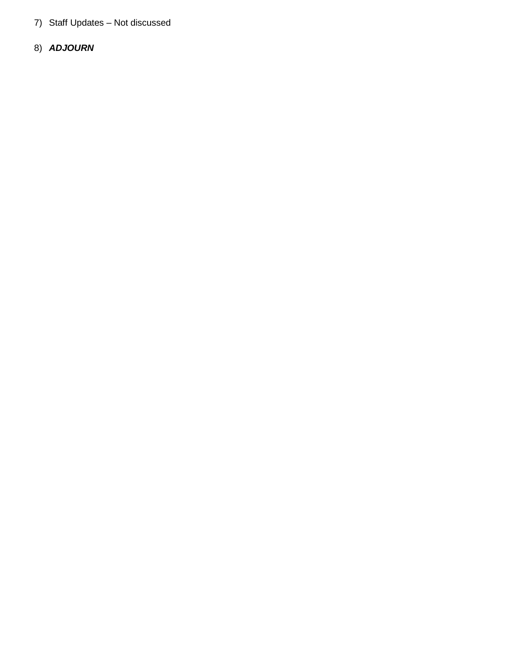- 7) Staff Updates Not discussed
- 8) *ADJOURN*